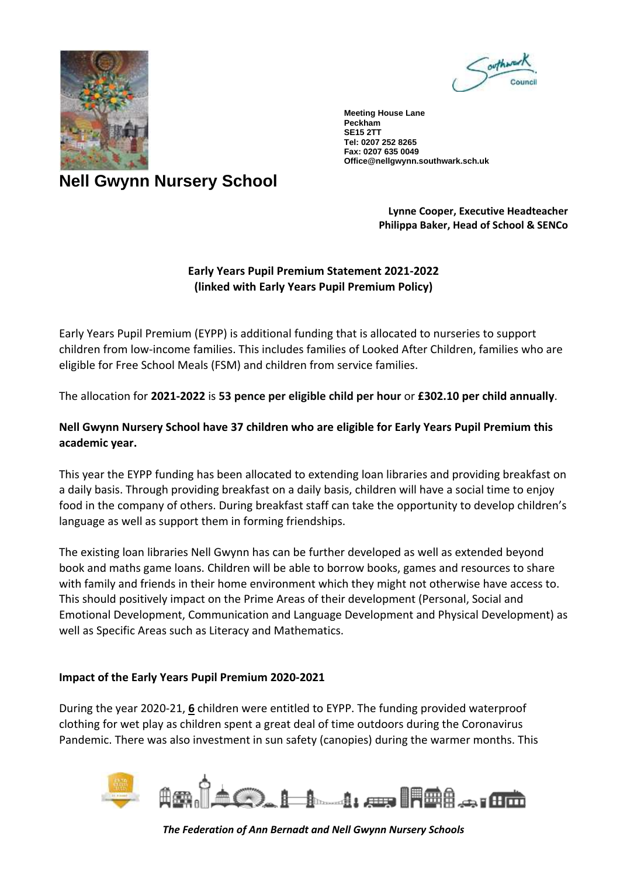



**Meeting House Lane Peckham SE15 2TT Tel: 0207 252 8265 Fax: 0207 635 0049 Office@nellgwynn.southwark.sch.uk**

## **Nell Gwynn Nursery School**

**Lynne Cooper, Executive Headteacher Philippa Baker, Head of School & SENCo**

## **Early Years Pupil Premium Statement 2021-2022 (linked with Early Years Pupil Premium Policy)**

Early Years Pupil Premium (EYPP) is additional funding that is allocated to nurseries to support children from low-income families. This includes families of Looked After Children, families who are eligible for Free School Meals (FSM) and children from service families.

The allocation for **2021-2022** is **53 pence per eligible child per hour** or **£302.10 per child annually**.

## **Nell Gwynn Nursery School have 37 children who are eligible for Early Years Pupil Premium this academic year.**

This year the EYPP funding has been allocated to extending loan libraries and providing breakfast on a daily basis. Through providing breakfast on a daily basis, children will have a social time to enjoy food in the company of others. During breakfast staff can take the opportunity to develop children's language as well as support them in forming friendships.

The existing loan libraries Nell Gwynn has can be further developed as well as extended beyond book and maths game loans. Children will be able to borrow books, games and resources to share with family and friends in their home environment which they might not otherwise have access to. This should positively impact on the Prime Areas of their development (Personal, Social and Emotional Development, Communication and Language Development and Physical Development) as well as Specific Areas such as Literacy and Mathematics.

## **Impact of the Early Years Pupil Premium 2020-2021**

During the year 2020-21, **6** children were entitled to EYPP. The funding provided waterproof clothing for wet play as children spent a great deal of time outdoors during the Coronavirus Pandemic. There was also investment in sun safety (canopies) during the warmer months. This



*The Federation of Ann Bernadt and Nell Gwynn Nursery Schools*